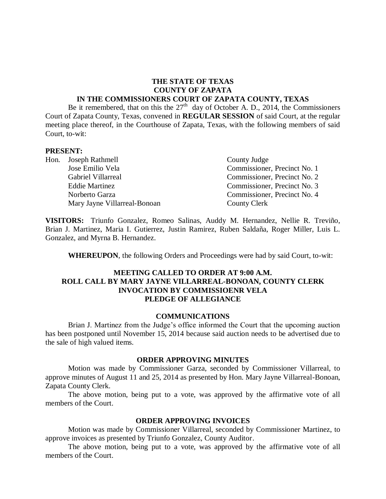### **THE STATE OF TEXAS COUNTY OF ZAPATA IN THE COMMISSIONERS COURT OF ZAPATA COUNTY, TEXAS**

Be it remembered, that on this the  $27<sup>th</sup>$  day of October A. D., 2014, the Commissioners Court of Zapata County, Texas, convened in **REGULAR SESSION** of said Court, at the regular meeting place thereof, in the Courthouse of Zapata, Texas, with the following members of said Court, to-wit:

### **PRESENT:**

|  | Hon. Joseph Rathmell         | County Judge                 |
|--|------------------------------|------------------------------|
|  | Jose Emilio Vela             | Commissioner, Precinct No. 1 |
|  | Gabriel Villarreal           | Commissioner, Precinct No. 2 |
|  | <b>Eddie Martinez</b>        | Commissioner, Precinct No. 3 |
|  | Norberto Garza               | Commissioner, Precinct No. 4 |
|  | Mary Jayne Villarreal-Bonoan | County Clerk                 |

**VISITORS:** Triunfo Gonzalez, Romeo Salinas, Auddy M. Hernandez, Nellie R. Treviño, Brian J. Martinez, Maria I. Gutierrez, Justin Ramirez, Ruben Saldaña, Roger Miller, Luis L. Gonzalez, and Myrna B. Hernandez.

**WHEREUPON**, the following Orders and Proceedings were had by said Court, to-wit:

### **MEETING CALLED TO ORDER AT 9:00 A.M. ROLL CALL BY MARY JAYNE VILLARREAL-BONOAN, COUNTY CLERK INVOCATION BY COMMISSIOENR VELA PLEDGE OF ALLEGIANCE**

#### **COMMUNICATIONS**

Brian J. Martinez from the Judge's office informed the Court that the upcoming auction has been postponed until November 15, 2014 because said auction needs to be advertised due to the sale of high valued items.

### **ORDER APPROVING MINUTES**

Motion was made by Commissioner Garza, seconded by Commissioner Villarreal, to approve minutes of August 11 and 25, 2014 as presented by Hon. Mary Jayne Villarreal-Bonoan, Zapata County Clerk.

The above motion, being put to a vote, was approved by the affirmative vote of all members of the Court.

## **ORDER APPROVING INVOICES**

Motion was made by Commissioner Villarreal, seconded by Commissioner Martinez, to approve invoices as presented by Triunfo Gonzalez, County Auditor.

The above motion, being put to a vote, was approved by the affirmative vote of all members of the Court.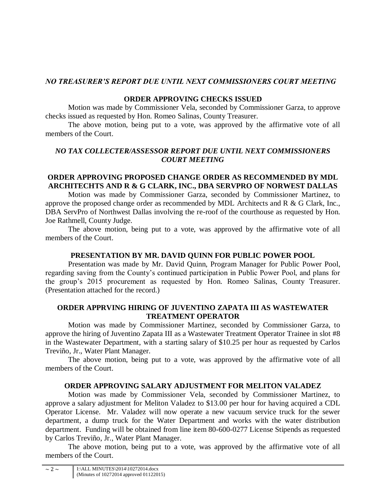# *NO TREASURER'S REPORT DUE UNTIL NEXT COMMISSIONERS COURT MEETING*

# **ORDER APPROVING CHECKS ISSUED**

Motion was made by Commissioner Vela, seconded by Commissioner Garza, to approve checks issued as requested by Hon. Romeo Salinas, County Treasurer.

The above motion, being put to a vote, was approved by the affirmative vote of all members of the Court.

# *NO TAX COLLECTER/ASSESSOR REPORT DUE UNTIL NEXT COMMISSIONERS COURT MEETING*

# **ORDER APPROVING PROPOSED CHANGE ORDER AS RECOMMENDED BY MDL ARCHITECHTS AND R & G CLARK, INC., DBA SERVPRO OF NORWEST DALLAS**

Motion was made by Commissioner Garza, seconded by Commissioner Martinez, to approve the proposed change order as recommended by MDL Architects and R & G Clark, Inc., DBA ServPro of Northwest Dallas involving the re-roof of the courthouse as requested by Hon. Joe Rathmell, County Judge.

The above motion, being put to a vote, was approved by the affirmative vote of all members of the Court.

# **PRESENTATION BY MR. DAVID QUINN FOR PUBLIC POWER POOL**

Presentation was made by Mr. David Quinn, Program Manager for Public Power Pool, regarding saving from the County's continued participation in Public Power Pool, and plans for the group's 2015 procurement as requested by Hon. Romeo Salinas, County Treasurer. (Presentation attached for the record.)

## **ORDER APPRVING HIRING OF JUVENTINO ZAPATA III AS WASTEWATER TREATMENT OPERATOR**

Motion was made by Commissioner Martinez, seconded by Commissioner Garza, to approve the hiring of Juventino Zapata III as a Wastewater Treatment Operator Trainee in slot #8 in the Wastewater Department, with a starting salary of \$10.25 per hour as requested by Carlos Treviño, Jr., Water Plant Manager.

The above motion, being put to a vote, was approved by the affirmative vote of all members of the Court.

# **ORDER APPROVING SALARY ADJUSTMENT FOR MELITON VALADEZ**

Motion was made by Commissioner Vela, seconded by Commissioner Martinez, to approve a salary adjustment for Meliton Valadez to \$13.00 per hour for having acquired a CDL Operator License. Mr. Valadez will now operate a new vacuum service truck for the sewer department, a dump truck for the Water Department and works with the water distribution department. Funding will be obtained from line item 80-600-0277 License Stipends as requested by Carlos Treviño, Jr., Water Plant Manager.

The above motion, being put to a vote, was approved by the affirmative vote of all members of the Court.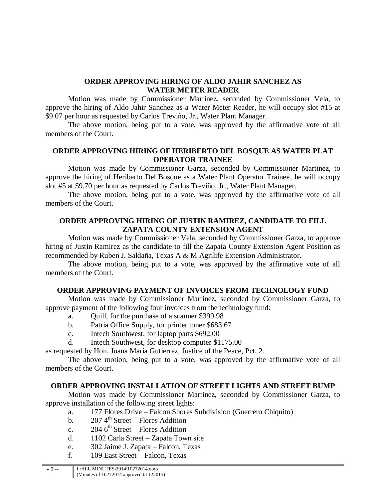## **ORDER APPROVING HIRING OF ALDO JAHIR SANCHEZ AS WATER METER READER**

Motion was made by Commissioner Martinez, seconded by Commissioner Vela, to approve the hiring of Aldo Jahir Sanchez as a Water Meter Reader, he will occupy slot #15 at \$9.07 per hour as requested by Carlos Treviño, Jr., Water Plant Manager.

The above motion, being put to a vote, was approved by the affirmative vote of all members of the Court.

## **ORDER APPROVING HIRING OF HERIBERTO DEL BOSQUE AS WATER PLAT OPERATOR TRAINEE**

Motion was made by Commissioner Garza, seconded by Commissioner Martinez, to approve the hiring of Heriberto Del Bosque as a Water Plant Operator Trainee, he will occupy slot #5 at \$9.70 per hour as requested by Carlos Treviño, Jr., Water Plant Manager.

The above motion, being put to a vote, was approved by the affirmative vote of all members of the Court.

## **ORDER APPROVING HIRING OF JUSTIN RAMIREZ, CANDIDATE TO FILL ZAPATA COUNTY EXTENSION AGENT**

Motion was made by Commissioner Vela, seconded by Commissioner Garza, to approve hiring of Justin Ramirez as the candidate to fill the Zapata County Extension Agent Position as recommended by Ruben J. Saldaña, Texas A & M Agrilife Extension Administrator.

The above motion, being put to a vote, was approved by the affirmative vote of all members of the Court.

## **ORDER APPROVING PAYMENT OF INVOICES FROM TECHNOLOGY FUND**

Motion was made by Commissioner Martinez, seconded by Commissioner Garza, to approve payment of the following four invoices from the technology fund:

- a. Quill, for the purchase of a scanner \$399.98
- b. Patria Office Supply, for printer toner \$683.67
- c. Intech Southwest, for laptop parts \$692.00
- d. Intech Southwest, for desktop computer \$1175.00

as requested by Hon. Juana Maria Gutierrez, Justice of the Peace, Pct. 2.

The above motion, being put to a vote, was approved by the affirmative vote of all members of the Court.

## **ORDER APPROVING INSTALLATION OF STREET LIGHTS AND STREET BUMP**

Motion was made by Commissioner Martinez, seconded by Commissioner Garza, to approve installation of the following street lights:

- a. 177 Flores Drive Falcon Shores Subdivision (Guerrero Chiquito)
- b.  $207.4^{\text{th}}$  Street Flores Addition
- c.  $204.6^{\text{th}}$  Street Flores Addition
- d. 1102 Carla Street Zapata Town site
- e. 302 Jaime J. Zapata Falcon, Texas
- f. 109 East Street Falcon, Texas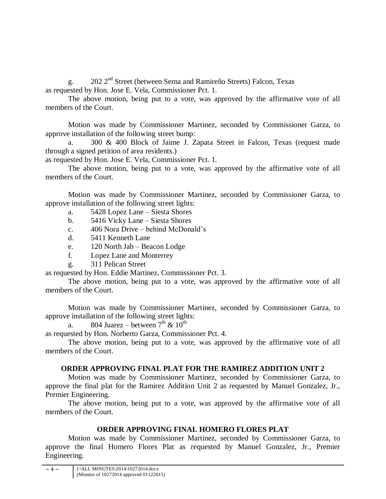g. 202 2nd Street (between Serna and Ramireño Streets) Falcon, Texas as requested by Hon. Jose E. Vela, Commissioner Pct. 1.

The above motion, being put to a vote, was approved by the affirmative vote of all members of the Court.

Motion was made by Commissioner Martinez, seconded by Commissioner Garza, to approve installation of the following street bump:

a. 300 & 400 Block of Jaime J. Zapata Street in Falcon, Texas (request made through a signed petition of area residents.)

as requested by Hon. Jose E. Vela, Commissioner Pct. 1.

The above motion, being put to a vote, was approved by the affirmative vote of all members of the Court.

Motion was made by Commissioner Martinez, seconded by Commissioner Garza, to approve installation of the following street lights:

- a. 5428 Lopez Lane Siesta Shores
- b. 5416 Vicky Lane Siesta Shores
- c. 406 Nora Drive behind McDonald's
- d. 5411 Kenneth Lane
- e. 120 North Jab Beacon Lodge
- f. Lopez Lane and Monterrey
- g. 311 Pelican Street

as requested by Hon. Eddie Martinez, Commissioner Pct. 3.

The above motion, being put to a vote, was approved by the affirmative vote of all members of the Court.

Motion was made by Commissioner Martinez, seconded by Commissioner Garza, to approve installation of the following street lights:

a. 804 Juarez – between  $7<sup>th</sup>$  &  $10<sup>th</sup>$ 

as requested by Hon. Norberto Garza, Commissioner Pct. 4.

The above motion, being put to a vote, was approved by the affirmative vote of all members of the Court.

# **ORDER APPROVING FINAL PLAT FOR THE RAMIREZ ADDITION UNIT 2**

Motion was made by Commissioner Martinez, seconded by Commissioner Garza, to approve the final plat for the Ramirez Addition Unit 2 as requested by Manuel Gonzalez, Jr., Premier Engineering.

The above motion, being put to a vote, was approved by the affirmative vote of all members of the Court.

# **ORDER APPROVING FINAL HOMERO FLORES PLAT**

Motion was made by Commissioner Martinez, seconded by Commissioner Garza, to approve the final Homero Flores Plat as requested by Manuel Gonzalez, Jr., Premier Engineering.